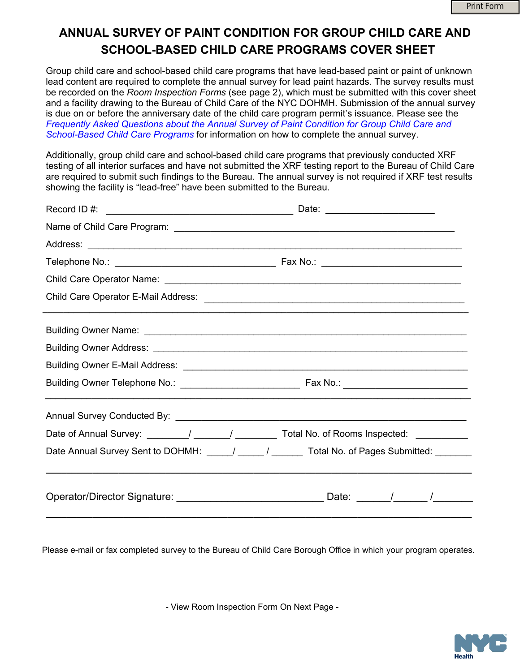## **ANNUAL SURVEY OF PAINT CONDITION FOR GROUP CHILD CARE AND SCHOOL-BASED CHILD CARE PROGRAMS COVER SHEET**

Group child care and school-based child care programs that have lead-based paint or paint of unknown lead content are required to complete the annual survey for lead paint hazards. The survey results must be recorded on the *Room Inspection Forms* (see page 2), which must be submitted with this cover sheet and a facility drawing to the Bureau of Child Care of the NYC DOHMH. Submission of the annual survey is due on or before the anniversary date of the child care program permit's issuance. Please see the *Fre[quently Asked Questions about the Annual Survey of Paint Condition for Group Child Care](https://www1.nyc.gov/assets/doh/downloads/pdf/lead/gdc-annual-survey-faqs.pdf) and [School-](http://www.nyc.gov/html/doh/downloads/pdf/lead/GDC_Annual_Survey_FAQs.pdf)Based Child Care Programs* for information on how to complete the annual survey.

Additionally, group child care and school-based child care programs that previously conducted XRF testing of all interior surfaces and have not submitted the XRF testing report to the Bureau of Child Care are required to submit such findings to the Bureau. The annual survey is not required if XRF test results showing the facility is "lead-free" have been submitted to the Bureau.

| Date: ________________________                                                             |  |  |  |  |  |
|--------------------------------------------------------------------------------------------|--|--|--|--|--|
|                                                                                            |  |  |  |  |  |
|                                                                                            |  |  |  |  |  |
|                                                                                            |  |  |  |  |  |
|                                                                                            |  |  |  |  |  |
|                                                                                            |  |  |  |  |  |
|                                                                                            |  |  |  |  |  |
|                                                                                            |  |  |  |  |  |
|                                                                                            |  |  |  |  |  |
|                                                                                            |  |  |  |  |  |
|                                                                                            |  |  |  |  |  |
| Date of Annual Survey: _______/ ______/ ________/ Total No. of Rooms Inspected: __________ |  |  |  |  |  |
| Date Annual Survey Sent to DOHMH: ____/ ____/ _____ Total No. of Pages Submitted: ______   |  |  |  |  |  |
| Operator/Director Signature: ________________________________Date: ______/_______/         |  |  |  |  |  |

Please e-mail or fax completed survey to the Bureau of Child Care Borough Office in which your program operates.

- View Room Inspection Form On Next Page -